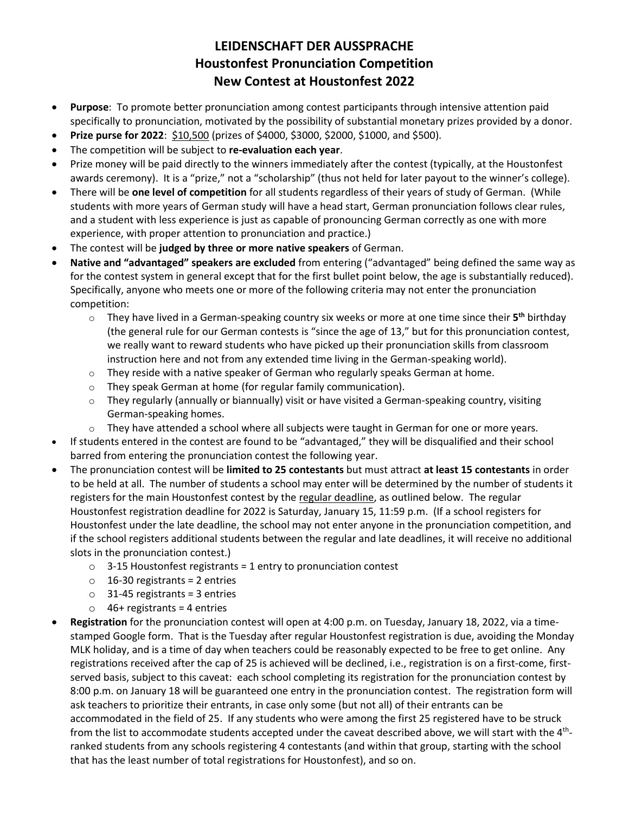## **LEIDENSCHAFT DER AUSSPRACHE Houstonfest Pronunciation Competition New Contest at Houstonfest 2022**

- **Purpose**: To promote better pronunciation among contest participants through intensive attention paid specifically to pronunciation, motivated by the possibility of substantial monetary prizes provided by a donor.
- **Prize purse for 2022**: \$10,500 (prizes of \$4000, \$3000, \$2000, \$1000, and \$500).
- The competition will be subject to **re-evaluation each year**.
- Prize money will be paid directly to the winners immediately after the contest (typically, at the Houstonfest awards ceremony). It is a "prize," not a "scholarship" (thus not held for later payout to the winner's college).
- There will be **one level of competition** for all students regardless of their years of study of German. (While students with more years of German study will have a head start, German pronunciation follows clear rules, and a student with less experience is just as capable of pronouncing German correctly as one with more experience, with proper attention to pronunciation and practice.)
- The contest will be **judged by three or more native speakers** of German.
- **Native and "advantaged" speakers are excluded** from entering ("advantaged" being defined the same way as for the contest system in general except that for the first bullet point below, the age is substantially reduced). Specifically, anyone who meets one or more of the following criteria may not enter the pronunciation competition:
	- o They have lived in a German-speaking country six weeks or more at one time since their **5 th** birthday (the general rule for our German contests is "since the age of 13," but for this pronunciation contest, we really want to reward students who have picked up their pronunciation skills from classroom instruction here and not from any extended time living in the German-speaking world).
	- $\circ$  They reside with a native speaker of German who regularly speaks German at home.
	- o They speak German at home (for regular family communication).
	- $\circ$  They regularly (annually or biannually) visit or have visited a German-speaking country, visiting German-speaking homes.
	- $\circ$  They have attended a school where all subjects were taught in German for one or more years.
- If students entered in the contest are found to be "advantaged," they will be disqualified and their school barred from entering the pronunciation contest the following year.
- The pronunciation contest will be **limited to 25 contestants** but must attract **at least 15 contestants** in order to be held at all. The number of students a school may enter will be determined by the number of students it registers for the main Houstonfest contest by the regular deadline, as outlined below. The regular Houstonfest registration deadline for 2022 is Saturday, January 15, 11:59 p.m. (If a school registers for Houstonfest under the late deadline, the school may not enter anyone in the pronunciation competition, and if the school registers additional students between the regular and late deadlines, it will receive no additional slots in the pronunciation contest.)
	- $\circ$  3-15 Houstonfest registrants = 1 entry to pronunciation contest
	- $\circ$  16-30 registrants = 2 entries
	- $\circ$  31-45 registrants = 3 entries
	- $\circ$  46+ registrants = 4 entries
- **Registration** for the pronunciation contest will open at 4:00 p.m. on Tuesday, January 18, 2022, via a timestamped Google form. That is the Tuesday after regular Houstonfest registration is due, avoiding the Monday MLK holiday, and is a time of day when teachers could be reasonably expected to be free to get online. Any registrations received after the cap of 25 is achieved will be declined, i.e., registration is on a first-come, firstserved basis, subject to this caveat: each school completing its registration for the pronunciation contest by 8:00 p.m. on January 18 will be guaranteed one entry in the pronunciation contest. The registration form will ask teachers to prioritize their entrants, in case only some (but not all) of their entrants can be accommodated in the field of 25. If any students who were among the first 25 registered have to be struck from the list to accommodate students accepted under the caveat described above, we will start with the 4<sup>th</sup>ranked students from any schools registering 4 contestants (and within that group, starting with the school that has the least number of total registrations for Houstonfest), and so on.